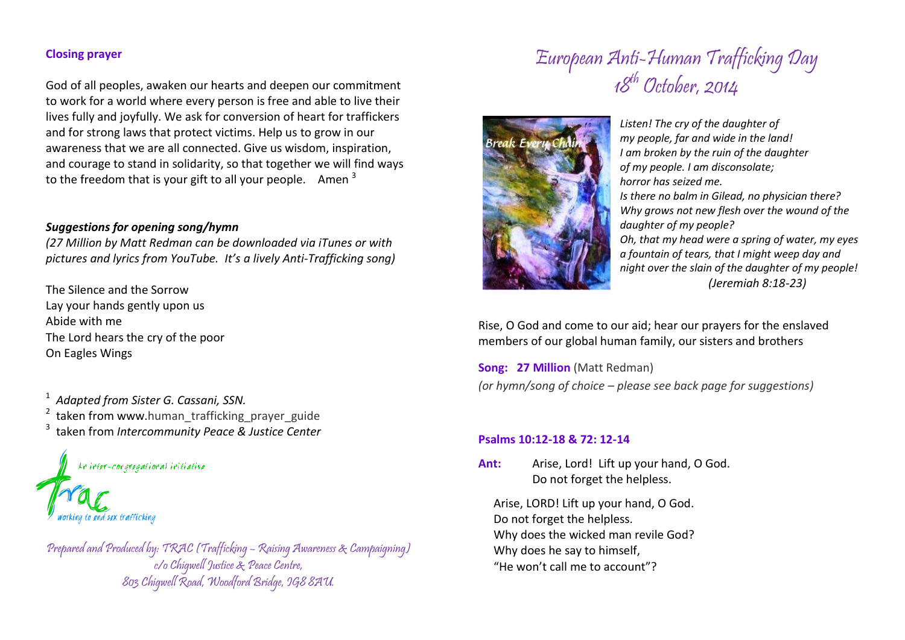## **Closing prayer**

God of all peoples, awaken our hearts and deepen our commitment to work for a world where every person is free and able to live their lives fully and joyfully. We ask for conversion of heart for traffickers and for strong laws that protect victims. Help us to grow in our awareness that we are all connected. Give us wisdom, inspiration, and courage to stand in solidarity, so that together we will find ways to the freedom that is your gift to all your people. Amen  $3$ 

### *Suggestions for opening song/hymn*

*(27 Million by Matt Redman can be downloaded via iTunes or with pictures and lyrics from YouTube. It's a lively Anti-Trafficking song)*

The Silence and the Sorrow Lay your hands gently upon us Abide with me The Lord hears the cry of the poor On Eagles Wings

1 *Adapted from Sister G. Cassani, SSN.* <sup>2</sup> taken from www.human\_trafficking\_prayer\_guide 3 taken from *Intercommunity Peace & Justice Center*

Ar irier-corpregational iritiative



Prepared and Produced by: TRAC (Trafficking – Raising Awareness & Campaigning) c/o Chigwell Justice & Peace Centre, 803 Chigwell Road, Woodford Bridge, IG8 8AU.

# European Anti-Human Trafficking Day 18<sup>th</sup> October, 2014



*Listen! The cry of the daughter of my people, far and wide in the land! I am broken by the ruin of the daughter of my people. I am disconsolate; horror has seized me. Is there no balm in Gilead, no physician there? Why grows not new flesh over the wound of the daughter of my people? Oh, that my head were a spring of water, my eyes a fountain of tears, that I might weep day and night over the slain of the daughter of my people! (Jeremiah 8:18-23)*

Rise, O God and come to our aid; hear our prayers for the enslaved members of our global human family, our sisters and brothers

**Song: 27 Million** (Matt Redman) *(or hymn/song of choice – please see back page for suggestions)*

#### **Psalms 10:12-18 & 72: 12-14**

**Ant:** Arise, Lord! Lift up your hand, O God. Do not forget the helpless.

Arise, LORD! Lift up your hand, O God. Do not forget the helpless. Why does the wicked man revile God? Why does he say to himself, "He won't call me to account"?